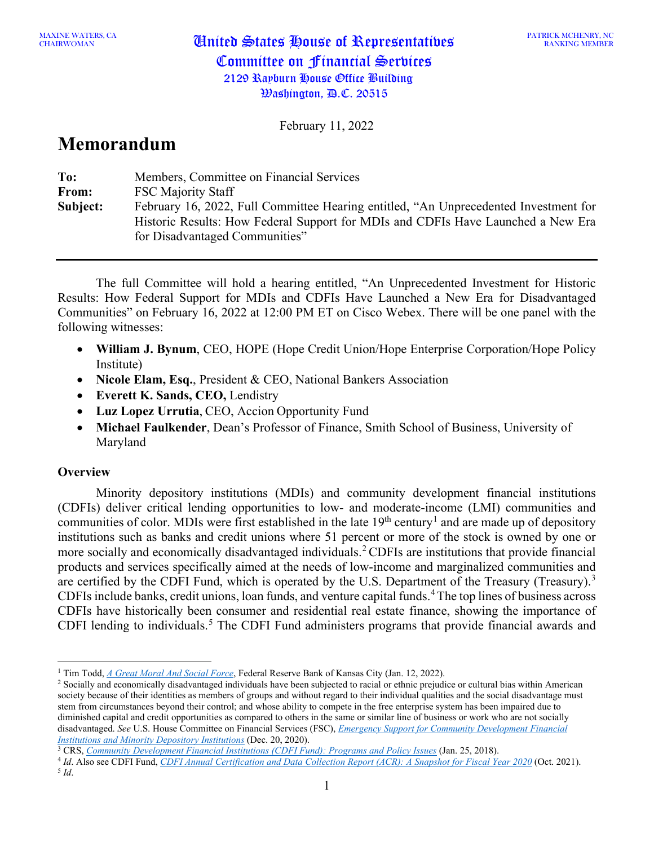MAXINE WATERS, CA<br>CHAIRWOMAN

PATRICK MCHENRY, NC RANKING MEMBER

February 11, 2022

# **Memorandum**

| To:      | Members, Committee on Financial Services                                                                                                                                                                   |
|----------|------------------------------------------------------------------------------------------------------------------------------------------------------------------------------------------------------------|
| From:    | <b>FSC Majority Staff</b>                                                                                                                                                                                  |
| Subject: | February 16, 2022, Full Committee Hearing entitled, "An Unprecedented Investment for<br>Historic Results: How Federal Support for MDIs and CDFIs Have Launched a New Era<br>for Disadvantaged Communities" |

The full Committee will hold a hearing entitled, "An Unprecedented Investment for Historic Results: How Federal Support for MDIs and CDFIs Have Launched a New Era for Disadvantaged Communities" on February 16, 2022 at 12:00 PM ET on Cisco Webex. There will be one panel with the following witnesses:

- **William J. Bynum**, CEO, HOPE (Hope Credit Union/Hope Enterprise Corporation/Hope Policy Institute)
- **Nicole Elam, Esq.**, President & CEO, National Bankers Association
- **Everett K. Sands, CEO,** Lendistry
- **Luz Lopez Urrutia**, CEO, Accion Opportunity Fund
- **Michael Faulkender**, Dean's Professor of Finance, Smith School of Business, University of Maryland

# **Overview**

Minority depository institutions (MDIs) and community development financial institutions (CDFIs) deliver critical lending opportunities to low- and moderate-income (LMI) communities and communities of color. MDIs were first established in the late  $19<sup>th</sup>$  $19<sup>th</sup>$  century<sup>1</sup> and are made up of depository institutions such as banks and credit unions where 51 percent or more of the stock is owned by one or more socially and economically disadvantaged individuals.<sup>[2](#page-0-1)</sup> CDFIs are institutions that provide financial products and services specifically aimed at the needs of low-income and marginalized communities and are certified by the CDFI Fund, which is operated by the U.S. Department of the Treasury (Treasury).<sup>[3](#page-0-2)</sup> CDFIs include banks, credit unions, loan funds, and venture capital funds.[4](#page-0-3)The top lines of business across CDFIs have historically been consumer and residential real estate finance, showing the importance of CDFI lending to individuals.<sup>[5](#page-0-4)</sup> The CDFI Fund administers programs that provide financial awards and

- <span id="page-0-4"></span><span id="page-0-3"></span><sup>4</sup> *Id*. Also see CDFI Fund, *CDFI Annual Certification and Data Collection Report (ACR): A Snapshot for Fiscal Year 2020* (Oct. 2021). 5 *Id*.
- 

<span id="page-0-1"></span><span id="page-0-0"></span><sup>&</sup>lt;sup>1</sup> Tim Todd, <u>A Great Moral And Social Force</u>, Federal Reserve Bank of Kansas City (Jan. 12, 2022).<br><sup>2</sup> Socially and economically disadvantaged individuals have been subjected to racial or ethnic prejudice or cultural bi society because of their identities as members of groups and without regard to their individual qualities and the social disadvantage must stem from circumstances beyond their control; and whose ability to compete in the free enterprise system has been impaired due to diminished capital and credit opportunities as compared to others in the same or similar line of business or work who are not socially disadvantaged. *See* U.S. House Committee on Financial Services (FSC), *[Emergency Support for Community Development Financial](https://financialservices.house.gov/uploadedfiles/cdfi_mdi_stimulus_1-pgr_12.20.20.pdf)  [Institutions and Minority Depository Institutions](https://financialservices.house.gov/uploadedfiles/cdfi_mdi_stimulus_1-pgr_12.20.20.pdf)* (Dec. 20, 2020).

<span id="page-0-2"></span><sup>3</sup> CRS, *[Community Development Financial Institutions \(CDFI Fund\): Programs](https://www.crs.gov/reports/pdf/R42770) and Policy Issues* (Jan. 25, 2018).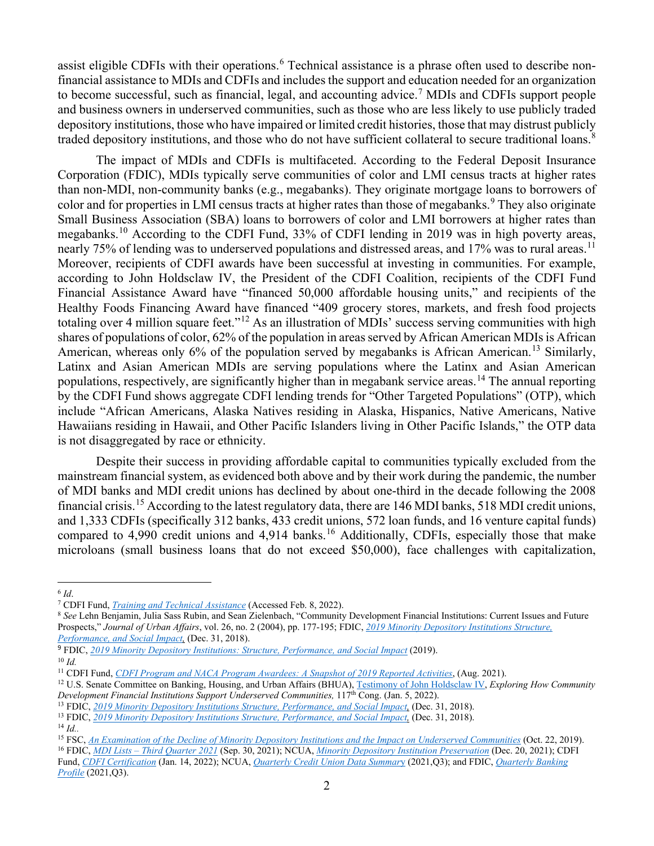assist eligible CDFIs with their operations.<sup>[6](#page-1-0)</sup> Technical assistance is a phrase often used to describe nonfinancial assistance to MDIs and CDFIs and includes the support and education needed for an organization to become successful, such as financial, legal, and accounting advice. [7](#page-1-1) MDIs and CDFIs support people and business owners in underserved communities, such as those who are less likely to use publicly traded depository institutions, those who have impaired or limited credit histories, those that may distrust publicly traded depository institutions, and those who do not have sufficient collateral to secure traditional loans.<sup>[8](#page-1-2)</sup>

The impact of MDIs and CDFIs is multifaceted. According to the Federal Deposit Insurance Corporation (FDIC), MDIs typically serve communities of color and LMI census tracts at higher rates than non-MDI, non-community banks (e.g., megabanks). They originate mortgage loans to borrowers of color and for properties in LMI census tracts at higher rates than those of megabanks. [9](#page-1-3) They also originate Small Business Association (SBA) loans to borrowers of color and LMI borrowers at higher rates than megabanks.<sup>[10](#page-1-4)</sup> According to the CDFI Fund, 33% of CDFI lending in 2019 was in high poverty areas, nearly 75% of lending was to underserved populations and distressed areas, and 17% was to rural areas.<sup>[11](#page-1-5)</sup> Moreover, recipients of CDFI awards have been successful at investing in communities. For example, according to John Holdsclaw IV, the President of the CDFI Coalition, recipients of the CDFI Fund Financial Assistance Award have "financed 50,000 affordable housing units," and recipients of the Healthy Foods Financing Award have financed "409 grocery stores, markets, and fresh food projects totaling over 4 million square feet."[12](#page-1-6) As an illustration of MDIs' success serving communities with high shares of populations of color, 62% of the population in areas served by African American MDIs is African American, whereas only 6% of the population served by megabanks is African American.<sup>[13](#page-1-7)</sup> Similarly, Latinx and Asian American MDIs are serving populations where the Latinx and Asian American populations, respectively, are significantly higher than in megabank service areas.<sup>[14](#page-1-8)</sup> The annual reporting by the CDFI Fund shows aggregate CDFI lending trends for "Other Targeted Populations" (OTP), which include "African Americans, Alaska Natives residing in Alaska, Hispanics, Native Americans, Native Hawaiians residing in Hawaii, and Other Pacific Islanders living in Other Pacific Islands," the OTP data is not disaggregated by race or ethnicity.

Despite their success in providing affordable capital to communities typically excluded from the mainstream financial system, as evidenced both above and by their work during the pandemic, the number of MDI banks and MDI credit unions has declined by about one-third in the decade following the 2008 financial crisis.[15](#page-1-9) According to the latest regulatory data, there are 146 MDI banks, 518 MDI credit unions, and 1,333 CDFIs (specifically 312 banks, 433 credit unions, 572 loan funds, and 16 venture capital funds) compared to 4,990 credit unions and 4,914 banks.<sup>[16](#page-1-10)</sup> Additionally, CDFIs, especially those that make microloans (small business loans that do not exceed \$50,000), face challenges with capitalization,

<span id="page-1-1"></span><span id="page-1-0"></span><sup>&</sup>lt;sup>6</sup> *Id.*<br>7 CDFI Fund, *Training and Technical Assistance* (Accessed Feb. 8, 2022).

<span id="page-1-2"></span><sup>&</sup>lt;sup>8</sup> See Lehn Benjamin, Julia Sass Rubin, and Sean Zielenbach, "Community Development Financial Institutions: Current Issues and Future Prospects," *Journal of Urban Affairs*, vol. 26, no. 2 (2004), pp. 177-195; FDIC, *[2019 Minority Depository Institutions Structure,](https://www.fdic.gov/regulations/resources/minority/2019-mdi-study/full.pdf)  [Performance, and Social Impact,](https://www.fdic.gov/regulations/resources/minority/2019-mdi-study/full.pdf)* (Dec. 31, 2018).

<span id="page-1-3"></span><sup>9</sup> FDIC, *[2019 Minority Depository Institutions: Structure, Performance, and Social Impact](https://www.fdic.gov/regulations/resources/minority/2019-mdi-study/full.pdf)* (2019).

<span id="page-1-4"></span><sup>10</sup> *Id.*

<span id="page-1-5"></span><sup>11</sup> CDFI Fund, *[CDFI Program and NACA Program Awardees: A Snapshot of 2019 Reported Activities](https://www.cdfifund.gov/sites/cdfi/files/2021-08/CDFIFY2019-Performance-Data.pdf)*, (Aug. 2021).

<span id="page-1-6"></span><sup>&</sup>lt;sup>12</sup> U.S. Senate Committee on Banking, Housing, and Urban Affairs (BHUA), [Testimony of John Holdsclaw IV,](https://www.banking.senate.gov/imo/media/doc/Holdsclaw%20Testimony%201-5-22.pdf) *Exploring How Community Development Financial Institutions Support Underserved Communities,* 117<sup>th</sup> Cong. (Jan. 5, 2022).

<span id="page-1-7"></span><sup>13</sup> FDIC, *[2019 Minority Depository Institutions Structure, Performance, and Social Impact,](https://www.fdic.gov/regulations/resources/minority/2019-mdi-study/full.pdf)* (Dec. 31, 2018).

<sup>13</sup> FDIC, *[2019 Minority Depository Institutions Structure, Performance, and Social Impact,](https://www.fdic.gov/regulations/resources/minority/2019-mdi-study/full.pdf)* (Dec. 31, 2018).

<span id="page-1-8"></span><sup>14</sup> *Id..*

<span id="page-1-9"></span><sup>15</sup> FSC, *An Examination of the Decline of Minority Depository Institutions and the Impact on Underserved Communities* (Oct. 22, 2019). <sup>16</sup> FDIC, *MDI Lists – [Third Quarter 2021](https://www.fdic.gov/regulations/resources/minority/mdi.html)* (Sep. 30, 2021); NCUA, *[Minority Depository Institution Preservation](https://www.ncua.gov/support-services/credit-union-resources-expansion/resources/minority-depository-institution-preservation/mdi)* (Dec. 20, 2021); CDFI

<span id="page-1-10"></span>Fund, *[CDFI Certification](https://www.cdfifund.gov/programs-training/certification/cdfi)* (Jan. 14, 2022); NCUA, *[Quarterly Credit Union Data Summar](https://www.ncua.gov/files/publications/analysis/quarterly-data-summary-2021-Q3.pdf)*y (2021,Q3); and FDIC, *[Quarterly Banking](https://www.fdic.gov/analysis/quarterly-banking-profile/qbp/2021sep/qbp.pdf#page=1)  [Profile](https://www.fdic.gov/analysis/quarterly-banking-profile/qbp/2021sep/qbp.pdf#page=1)* (2021,Q3).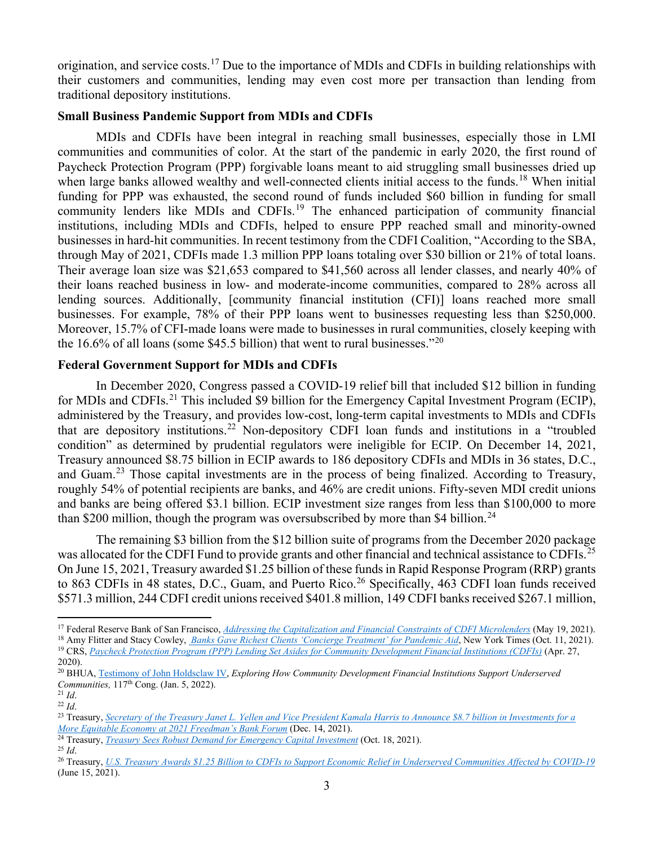origination, and service costs.<sup>[17](#page-2-0)</sup> Due to the importance of MDIs and CDFIs in building relationships with their customers and communities, lending may even cost more per transaction than lending from traditional depository institutions.

### **Small Business Pandemic Support from MDIs and CDFIs**

MDIs and CDFIs have been integral in reaching small businesses, especially those in LMI communities and communities of color. At the start of the pandemic in early 2020, the first round of Paycheck Protection Program (PPP) forgivable loans meant to aid struggling small businesses dried up when large banks allowed wealthy and well-connected clients initial access to the funds.<sup>[18](#page-2-1)</sup> When initial funding for PPP was exhausted, the second round of funds included \$60 billion in funding for small community lenders like MDIs and CDFIs.<sup>[19](#page-2-2)</sup> The enhanced participation of community financial institutions, including MDIs and CDFIs, helped to ensure PPP reached small and minority-owned businesses in hard-hit communities. In recent testimony from the CDFI Coalition, "According to the SBA, through May of 2021, CDFIs made 1.3 million PPP loans totaling over \$30 billion or 21% of total loans. Their average loan size was \$21,653 compared to \$41,560 across all lender classes, and nearly 40% of their loans reached business in low- and moderate-income communities, compared to 28% across all lending sources. Additionally, [community financial institution (CFI)] loans reached more small businesses. For example, 78% of their PPP loans went to businesses requesting less than \$250,000. Moreover, 15.7% of CFI-made loans were made to businesses in rural communities, closely keeping with the 16.6% of all loans (some \$45.5 billion) that went to rural businesses."<sup>[20](#page-2-3)</sup>

## **Federal Government Support for MDIs and CDFIs**

In December 2020, Congress passed a COVID-19 relief bill that included \$12 billion in funding for MDIs and CDFIs.<sup>[21](#page-2-4)</sup> This included \$9 billion for the Emergency Capital Investment Program (ECIP), administered by the Treasury, and provides low-cost, long-term capital investments to MDIs and CDFIs that are depository institutions.[22](#page-2-5) Non-depository CDFI loan funds and institutions in a "troubled condition" as determined by prudential regulators were ineligible for ECIP. On December 14, 2021, Treasury announced \$8.75 billion in ECIP awards to 186 depository CDFIs and MDIs in 36 states, D.C., and Guam.<sup>[23](#page-2-6)</sup> Those capital investments are in the process of being finalized. According to Treasury, roughly 54% of potential recipients are banks, and 46% are credit unions. Fifty-seven MDI credit unions and banks are being offered \$3.1 billion. ECIP investment size ranges from less than \$100,000 to more than \$200 million, though the program was oversubscribed by more than \$4 billion.<sup>[24](#page-2-7)</sup>

The remaining \$3 billion from the \$12 billion suite of programs from the December 2020 package was allocated for the CDFI Fund to provide grants and other financial and technical assistance to CDFIs.<sup>[25](#page-2-8)</sup> On June 15, 2021, Treasury awarded \$1.25 billion of these funds in Rapid Response Program (RRP) grants to 863 CDFIs in 48 states, D.C., Guam, and Puerto Rico.<sup>[26](#page-2-9)</sup> Specifically, 463 CDFI loan funds received \$571.3 million, 244 CDFI credit unions received \$401.8 million, 149 CDFI banks received \$267.1 million,

- <span id="page-2-7"></span><sup>24</sup> Treasury, *[Treasury Sees Robust Demand for Emergency Capital Investment](https://home.treasury.gov/system/files/136/ECIP-Demand-Announcement-10-18-2021.pdf)* (Oct. 18, 2021).
- <span id="page-2-8"></span><sup>25</sup> *Id*.

<span id="page-2-0"></span><sup>&</sup>lt;sup>17</sup> Federal Reserve Bank of San Francisco, *Addressing the Capitalization and Financial Constraints of CDFI Microlenders* (May 19, 2021).<br><sup>18</sup> Amy Flitter and Stacy Cowley, *Banks Gave Richest Clients 'Concierge Treatment* 

<span id="page-2-2"></span><span id="page-2-1"></span><sup>19</sup> CRS, *Paycheck Protection Program (PPP) Lending Set Asides for Community Development Financial Institutions (CDFIs)* (Apr. 27, 2020).

<span id="page-2-3"></span><sup>20</sup> BHUA, [Testimony of John Holdsclaw IV,](https://www.banking.senate.gov/imo/media/doc/Holdsclaw%20Testimony%201-5-22.pdf) *Exploring How Community Development Financial Institutions Support Underserved Communities, 117<sup>th</sup>* Cong. (Jan. 5, 2022).

<span id="page-2-4"></span><sup>21</sup> *Id*.

<span id="page-2-5"></span><sup>22</sup> *Id*.

<span id="page-2-6"></span><sup>23</sup> Treasury, *Secretary of the Treasury [Janet L. Yellen and Vice President Kamala Harris to Announce \\$8.7 billion in Investments for a](https://home.treasury.gov/news/press-releases/jy0530)  [More Equitable Economy at 2021 Freedman's Bank Forum](https://home.treasury.gov/news/press-releases/jy0530)* (Dec. 14, 2021).

<span id="page-2-9"></span><sup>26</sup> Treasury, *[U.S. Treasury Awards \\$1.25 Billion to CDFIs to Support Economic Relief](https://home.treasury.gov/news/press-releases/jy0228) in Underserved Communities Affected by COVID-19* (June 15, 2021).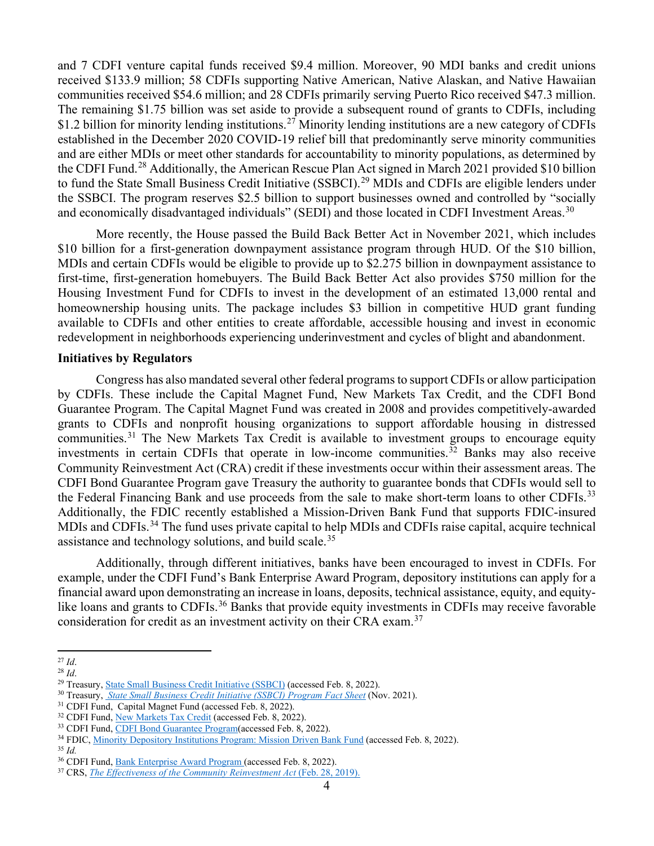and 7 CDFI venture capital funds received \$9.4 million. Moreover, 90 MDI banks and credit unions received \$133.9 million; 58 CDFIs supporting Native American, Native Alaskan, and Native Hawaiian communities received \$54.6 million; and 28 CDFIs primarily serving Puerto Rico received \$47.3 million. The remaining \$1.75 billion was set aside to provide a subsequent round of grants to CDFIs, including \$1.2 billion for minority lending institutions.<sup>[27](#page-3-0)</sup> Minority lending institutions are a new category of CDFIs established in the December 2020 COVID-19 relief bill that predominantly serve minority communities and are either MDIs or meet other standards for accountability to minority populations, as determined by the CDFI Fund.[28](#page-3-1) Additionally, the American Rescue Plan Act signed in March 2021 provided \$10 billion to fund the State Small Business Credit Initiative (SSBCI).<sup>[29](#page-3-2)</sup> MDIs and CDFIs are eligible lenders under the SSBCI. The program reserves \$2.5 billion to support businesses owned and controlled by "socially and economically disadvantaged individuals" (SEDI) and those located in CDFI Investment Areas.<sup>[30](#page-3-3)</sup>

More recently, the House passed the Build Back Better Act in November 2021, which includes \$10 billion for a first-generation downpayment assistance program through HUD. Of the \$10 billion, MDIs and certain CDFIs would be eligible to provide up to \$2.275 billion in downpayment assistance to first-time, first-generation homebuyers. The Build Back Better Act also provides \$750 million for the Housing Investment Fund for CDFIs to invest in the development of an estimated 13,000 rental and homeownership housing units. The package includes \$3 billion in competitive HUD grant funding available to CDFIs and other entities to create affordable, accessible housing and invest in economic redevelopment in neighborhoods experiencing underinvestment and cycles of blight and abandonment.

#### **Initiatives by Regulators**

Congress has also mandated several other federal programs to support CDFIs or allow participation by CDFIs. These include the Capital Magnet Fund, New Markets Tax Credit, and the CDFI Bond Guarantee Program. The Capital Magnet Fund was created in 2008 and provides competitively-awarded grants to CDFIs and nonprofit housing organizations to support affordable housing in distressed communities.<sup>[31](#page-3-4)</sup> The New Markets Tax Credit is available to investment groups to encourage equity investments in certain CDFIs that operate in low-income communities. [32](#page-3-5) Banks may also receive Community Reinvestment Act (CRA) credit if these investments occur within their assessment areas. The CDFI Bond Guarantee Program gave Treasury the authority to guarantee bonds that CDFIs would sell to the Federal Financing Bank and use proceeds from the sale to make short-term loans to other CDFIs.<sup>[33](#page-3-6)</sup> Additionally, the FDIC recently established a Mission-Driven Bank Fund that supports FDIC-insured MDIs and CDFIs.<sup>[34](#page-3-7)</sup> The fund uses private capital to help MDIs and CDFIs raise capital, acquire technical assistance and technology solutions, and build scale.<sup>[35](#page-3-8)</sup>

Additionally, through different initiatives, banks have been encouraged to invest in CDFIs. For example, under the CDFI Fund's Bank Enterprise Award Program, depository institutions can apply for a financial award upon demonstrating an increase in loans, deposits, technical assistance, equity, and equity-like loans and grants to CDFIs.<sup>[36](#page-3-9)</sup> Banks that provide equity investments in CDFIs may receive favorable consideration for credit as an investment activity on their CRA exam.<sup>[37](#page-3-10)</sup>

<span id="page-3-0"></span><sup>27</sup> *Id*.

<span id="page-3-1"></span><sup>28</sup> *Id*.

<span id="page-3-2"></span><sup>&</sup>lt;sup>29</sup> Treasury, [State Small Business Credit Initiative \(SSBCI\)](https://home.treasury.gov/policy-issues/small-business-programs/state-small-business-credit-initiative-ssbci) (accessed Feb. 8, 2022).

<span id="page-3-3"></span><sup>30</sup> Treasury, *State Small [Business Credit Initiative \(SSBCI\) Program Fact Sheet](https://home.treasury.gov/system/files/256/State-Small-Business-Credit-Initiative-SSBCI-Fact-Sheet.pdf)* (Nov. 2021).

<span id="page-3-4"></span><sup>&</sup>lt;sup>31</sup> CDFI Fund, Capital Magnet Fund (accessed Feb. 8, 2022).<br><sup>32</sup> CDFI Fund, <u>New Markets Tax Credit</u> (accessed Feb. 8, 2022).

<span id="page-3-5"></span>

<span id="page-3-6"></span><sup>33</sup> CDFI Fund, CDFI Bond Guarantee Program(accessed Feb. 8, 2022).

<span id="page-3-7"></span><sup>34</sup> FDIC, [Minority Depository Institutions Program: Mission Driven Bank Fund](https://www.fdic.gov/regulations/resources/minority/mission-driven/index.html) (accessed Feb. 8, 2022).

<span id="page-3-8"></span><sup>35</sup> *Id.*

<span id="page-3-10"></span><span id="page-3-9"></span><sup>&</sup>lt;sup>36</sup> CDFI Fund, <u>Bank Enterprise Award Program</u> (accessed Feb. 8, 2022).<br><sup>37</sup> CRS, *The Effectiveness of the Community Reinvestment Act* (Feb. 28, 2019).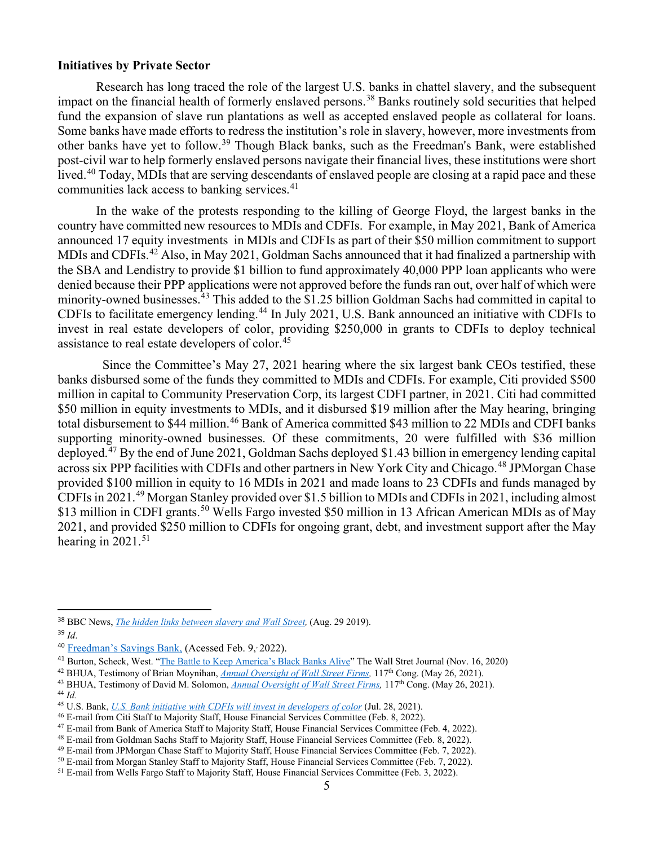#### **Initiatives by Private Sector**

Research has long traced the role of the largest U.S. banks in chattel slavery, and the subsequent impact on the financial health of formerly enslaved persons.<sup>[38](#page-4-0)</sup> Banks routinely sold securities that helped fund the expansion of slave run plantations as well as accepted enslaved people as collateral for loans. Some banks have made efforts to redress the institution's role in slavery, however, more investments from other banks have yet to follow.<sup>[39](#page-4-1)</sup> Though Black banks, such as the Freedman's Bank, were established post-civil war to help formerly enslaved persons navigate their financial lives, these institutions were short lived.<sup>[40](#page-4-2)</sup> Today, MDIs that are serving descendants of enslaved people are closing at a rapid pace and these communities lack access to banking services.<sup>[41](#page-4-3)</sup>

In the wake of the protests responding to the killing of George Floyd, the largest banks in the country have committed new resources to MDIs and CDFIs. For example, in May 2021, Bank of America announced 17 equity investments in MDIs and CDFIs as part of their \$50 million commitment to support MDIs and CDFIs.<sup>[42](#page-4-4)</sup> Also, in May 2021, Goldman Sachs announced that it had finalized a partnership with the SBA and Lendistry to provide \$1 billion to fund approximately 40,000 PPP loan applicants who were denied because their PPP applications were not approved before the funds ran out, over half of which were minority-owned businesses.<sup>[43](#page-4-5)</sup> This added to the \$1.25 billion Goldman Sachs had committed in capital to CDFIs to facilitate emergency lending.[44](#page-4-6) In July 2021, U.S. Bank announced an initiative with CDFIs to invest in real estate developers of color, providing \$250,000 in grants to CDFIs to deploy technical assistance to real estate developers of color.<sup>[45](#page-4-7)</sup>

 Since the Committee's May 27, 2021 hearing where the six largest bank CEOs testified, these banks disbursed some of the funds they committed to MDIs and CDFIs. For example, Citi provided \$500 million in capital to Community Preservation Corp, its largest CDFI partner, in 2021. Citi had committed \$50 million in equity investments to MDIs, and it disbursed \$19 million after the May hearing, bringing total disbursement to \$44 million.<sup>[46](#page-4-8)</sup> Bank of America committed \$43 million to 22 MDIs and CDFI banks supporting minority-owned businesses. Of these commitments, 20 were fulfilled with \$36 million deployed.[47](#page-4-9) By the end of June 2021, Goldman Sachs deployed \$1.43 billion in emergency lending capital across six PPP facilities with CDFIs and other partners in New York City and Chicago.<sup>[48](#page-4-10)</sup> JPMorgan Chase provided \$100 million in equity to 16 MDIs in 2021 and made loans to 23 CDFIs and funds managed by CDFIs in 2021.<sup>[49](#page-4-11)</sup> Morgan Stanley provided over \$1.5 billion to MDIs and CDFIs in 2021, including almost \$13 million in CDFI grants.<sup>[50](#page-4-12)</sup> Wells Fargo invested \$50 million in 13 African American MDIs as of May 2021, and provided \$250 million to CDFIs for ongoing grant, debt, and investment support after the May hearing in 2021.<sup>[51](#page-4-13)</sup>

<span id="page-4-0"></span><sup>38</sup> BBC News, *[The hidden links between slavery and Wall Street,](https://www.bbc.com/news/business-49476247)* (Aug. 29 2019).

<span id="page-4-2"></span><span id="page-4-1"></span><sup>39</sup> *Id*.

<sup>&</sup>lt;sup>40</sup> [Freedman's Savings Bank,](http://freedmansbank.org/) (Acessed Feb. 9, 2022).

<span id="page-4-3"></span><sup>&</sup>lt;sup>41</sup> Burton, Scheck, West. ["The Battle to Keep America's Black](https://www.wsj.com/articles/the-battle-to-keep-americas-black-banks-alive-11604725200) Banks Alive" The Wall Stret Journal (Nov. 16, 2020)

<span id="page-4-4"></span><sup>42</sup> BHUA, Testimony of Brian Moynihan, *[Annual Oversight of Wall Street Firms,](https://www.banking.senate.gov/imo/media/doc/MoynihanTestimony%205-26-21.pdf)* 117th Cong. (May 26, 2021).

<span id="page-4-5"></span><sup>43</sup> BHUA, Testimony of David M. Solomon, *[Annual Oversight of Wall Street Firms,](https://www.banking.senate.gov/imo/media/doc/David%20M%20Solomon%20Written%20Testimony%20(Senate).pdf)* 117th Cong. (May 26, 2021).

<span id="page-4-6"></span><sup>44</sup> *Id.*

<span id="page-4-7"></span><sup>45</sup> U.S. Bank, *U.S. Bank initiative with CDFIs will invest in developers of color* (Jul. 28, 2021).

<span id="page-4-8"></span><sup>46</sup> E-mail from Citi Staff to Majority Staff, House Financial Services Committee (Feb. 8, 2022).

<span id="page-4-9"></span><sup>47</sup> E-mail from Bank of America Staff to Majority Staff, House Financial Services Committee (Feb. 4, 2022).

<span id="page-4-10"></span><sup>48</sup> E-mail from Goldman Sachs Staff to Majority Staff, House Financial Services Committee (Feb. 8, 2022). <sup>49</sup> E-mail from JPMorgan Chase Staff to Majority Staff, House Financial Services Committee (Feb. 7, 2022).

<span id="page-4-12"></span><span id="page-4-11"></span><sup>50</sup> E-mail from Morgan Stanley Staff to Majority Staff, House Financial Services Committee (Feb. 7, 2022).

<span id="page-4-13"></span><sup>&</sup>lt;sup>51</sup> E-mail from Wells Fargo Staff to Majority Staff, House Financial Services Committee (Feb. 3, 2022).